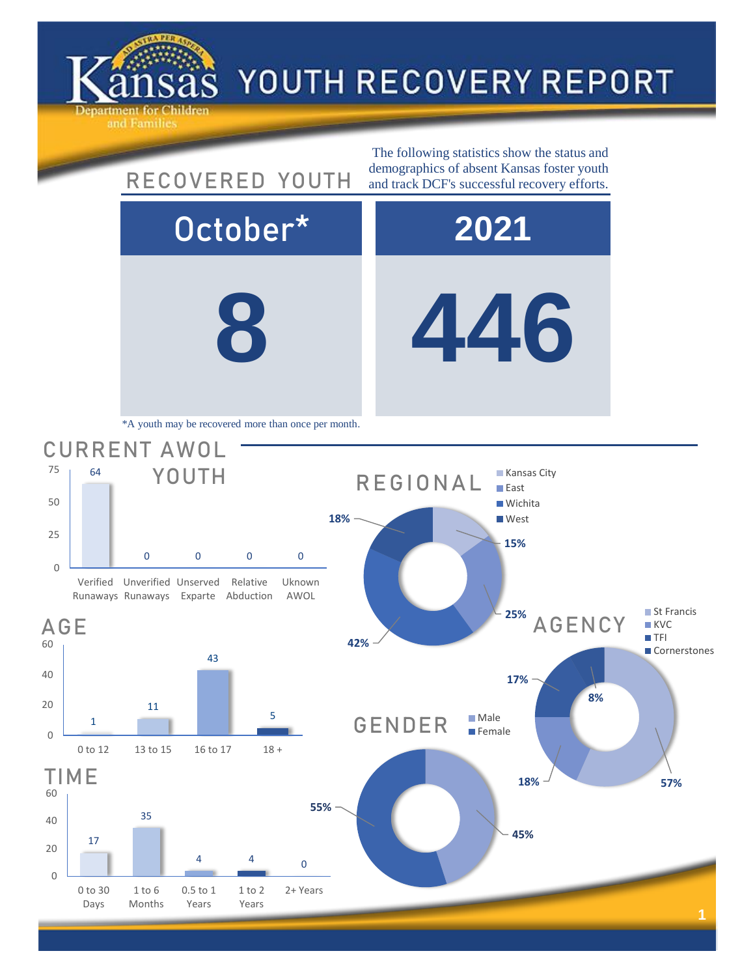

## YOUTH RECOVERY REPORT

**8 446** October\* **2021** 64 0 0 0 0 Verified Unverified Unserved Runaways Runaways Exparte Relative Abduction Uknown AWOL CURRENT AWOL YOUTH The following statistics show the status and RECOVERED YOUTH demographics of absent Kansas foster youth and track DCF's successful recovery efforts. \*A youth may be recovered more than once per month. **15% 18%** REGIONAL **Kansas City East Wichita West** 



0

25

50

75